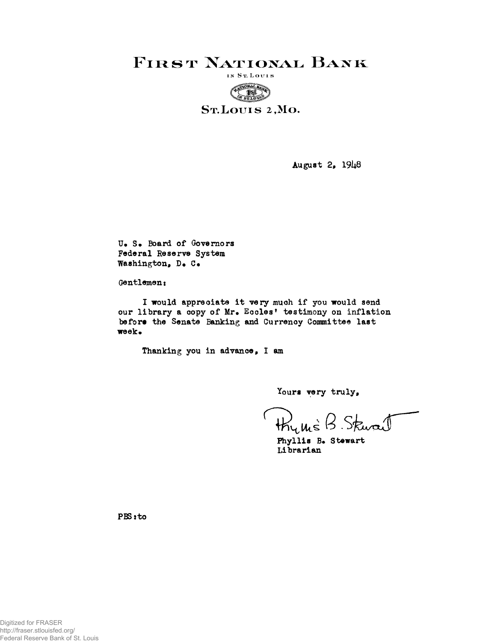**FIRST NATIONAL BANK** 



August 2, 1948

U. S. Board of Governors Federal Reserve System Washington, D. C.

Gentlemen:

I would appreciate it very much if you would send our library a copy of Mr. Eccles' testimony on inflation before the Senate Banking and Currency Committee last week.

Thanking you in advance, I am

Yours very truly,

thums B Skwart

Phyllis B. Stewart Librarian

PBS: to